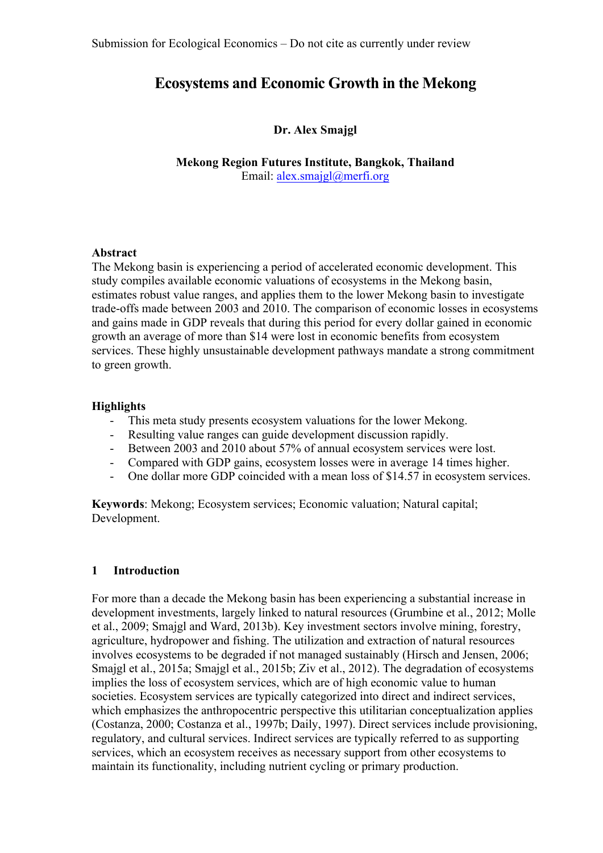# **Ecosystems and Economic Growth in the Mekong**

## **Dr. Alex Smajgl**

**Mekong Region Futures Institute, Bangkok, Thailand** Email: alex.smajgl@merfi.org

## **Abstract**

The Mekong basin is experiencing a period of accelerated economic development. This study compiles available economic valuations of ecosystems in the Mekong basin, estimates robust value ranges, and applies them to the lower Mekong basin to investigate trade-offs made between 2003 and 2010. The comparison of economic losses in ecosystems and gains made in GDP reveals that during this period for every dollar gained in economic growth an average of more than \$14 were lost in economic benefits from ecosystem services. These highly unsustainable development pathways mandate a strong commitment to green growth.

## **Highlights**

- This meta study presents ecosystem valuations for the lower Mekong.
- Resulting value ranges can guide development discussion rapidly.
- Between 2003 and 2010 about 57% of annual ecosystem services were lost.
- Compared with GDP gains, ecosystem losses were in average 14 times higher.
- One dollar more GDP coincided with a mean loss of \$14.57 in ecosystem services.

**Keywords**: Mekong; Ecosystem services; Economic valuation; Natural capital; Development.

## **1 Introduction**

For more than a decade the Mekong basin has been experiencing a substantial increase in development investments, largely linked to natural resources (Grumbine et al., 2012; Molle et al., 2009; Smajgl and Ward, 2013b). Key investment sectors involve mining, forestry, agriculture, hydropower and fishing. The utilization and extraction of natural resources involves ecosystems to be degraded if not managed sustainably (Hirsch and Jensen, 2006; Smajgl et al., 2015a; Smajgl et al., 2015b; Ziv et al., 2012). The degradation of ecosystems implies the loss of ecosystem services, which are of high economic value to human societies. Ecosystem services are typically categorized into direct and indirect services, which emphasizes the anthropocentric perspective this utilitarian conceptualization applies (Costanza, 2000; Costanza et al., 1997b; Daily, 1997). Direct services include provisioning, regulatory, and cultural services. Indirect services are typically referred to as supporting services, which an ecosystem receives as necessary support from other ecosystems to maintain its functionality, including nutrient cycling or primary production.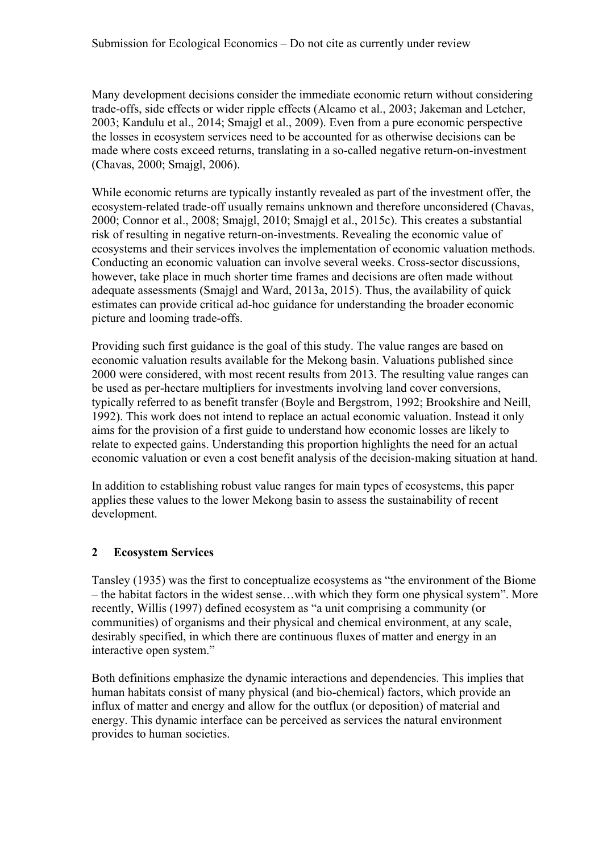Many development decisions consider the immediate economic return without considering trade-offs, side effects or wider ripple effects (Alcamo et al., 2003; Jakeman and Letcher, 2003; Kandulu et al., 2014; Smajgl et al., 2009). Even from a pure economic perspective the losses in ecosystem services need to be accounted for as otherwise decisions can be made where costs exceed returns, translating in a so-called negative return-on-investment (Chavas, 2000; Smajgl, 2006).

While economic returns are typically instantly revealed as part of the investment offer, the ecosystem-related trade-off usually remains unknown and therefore unconsidered (Chavas, 2000; Connor et al., 2008; Smajgl, 2010; Smajgl et al., 2015c). This creates a substantial risk of resulting in negative return-on-investments. Revealing the economic value of ecosystems and their services involves the implementation of economic valuation methods. Conducting an economic valuation can involve several weeks. Cross-sector discussions, however, take place in much shorter time frames and decisions are often made without adequate assessments (Smajgl and Ward, 2013a, 2015). Thus, the availability of quick estimates can provide critical ad-hoc guidance for understanding the broader economic picture and looming trade-offs.

Providing such first guidance is the goal of this study. The value ranges are based on economic valuation results available for the Mekong basin. Valuations published since 2000 were considered, with most recent results from 2013. The resulting value ranges can be used as per-hectare multipliers for investments involving land cover conversions, typically referred to as benefit transfer (Boyle and Bergstrom, 1992; Brookshire and Neill, 1992). This work does not intend to replace an actual economic valuation. Instead it only aims for the provision of a first guide to understand how economic losses are likely to relate to expected gains. Understanding this proportion highlights the need for an actual economic valuation or even a cost benefit analysis of the decision-making situation at hand.

In addition to establishing robust value ranges for main types of ecosystems, this paper applies these values to the lower Mekong basin to assess the sustainability of recent development.

## **2 Ecosystem Services**

Tansley (1935) was the first to conceptualize ecosystems as "the environment of the Biome – the habitat factors in the widest sense…with which they form one physical system". More recently, Willis (1997) defined ecosystem as "a unit comprising a community (or communities) of organisms and their physical and chemical environment, at any scale, desirably specified, in which there are continuous fluxes of matter and energy in an interactive open system."

Both definitions emphasize the dynamic interactions and dependencies. This implies that human habitats consist of many physical (and bio-chemical) factors, which provide an influx of matter and energy and allow for the outflux (or deposition) of material and energy. This dynamic interface can be perceived as services the natural environment provides to human societies.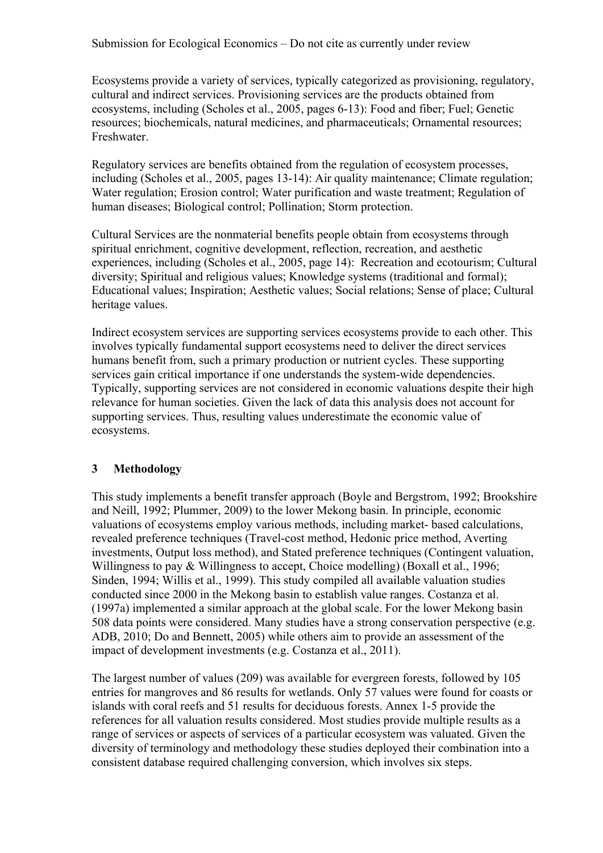Ecosystems provide a variety of services, typically categorized as provisioning, regulatory, cultural and indirect services. Provisioning services are the products obtained from ecosystems, including (Scholes et al., 2005, pages 6-13): Food and fiber; Fuel; Genetic resources; biochemicals, natural medicines, and pharmaceuticals; Ornamental resources; Freshwater.

Regulatory services are benefits obtained from the regulation of ecosystem processes, including (Scholes et al., 2005, pages 13-14): Air quality maintenance; Climate regulation; Water regulation; Erosion control; Water purification and waste treatment; Regulation of human diseases; Biological control; Pollination; Storm protection.

Cultural Services are the nonmaterial benefits people obtain from ecosystems through spiritual enrichment, cognitive development, reflection, recreation, and aesthetic experiences, including (Scholes et al., 2005, page 14): Recreation and ecotourism; Cultural diversity; Spiritual and religious values; Knowledge systems (traditional and formal); Educational values; Inspiration; Aesthetic values; Social relations; Sense of place; Cultural heritage values.

Indirect ecosystem services are supporting services ecosystems provide to each other. This involves typically fundamental support ecosystems need to deliver the direct services humans benefit from, such a primary production or nutrient cycles. These supporting services gain critical importance if one understands the system-wide dependencies. Typically, supporting services are not considered in economic valuations despite their high relevance for human societies. Given the lack of data this analysis does not account for supporting services. Thus, resulting values underestimate the economic value of ecosystems.

## **3 Methodology**

This study implements a benefit transfer approach (Boyle and Bergstrom, 1992; Brookshire and Neill, 1992; Plummer, 2009) to the lower Mekong basin. In principle, economic valuations of ecosystems employ various methods, including market- based calculations, revealed preference techniques (Travel-cost method, Hedonic price method, Averting investments, Output loss method), and Stated preference techniques (Contingent valuation, Willingness to pay & Willingness to accept, Choice modelling) (Boxall et al., 1996; Sinden, 1994; Willis et al., 1999). This study compiled all available valuation studies conducted since 2000 in the Mekong basin to establish value ranges. Costanza et al. (1997a) implemented a similar approach at the global scale. For the lower Mekong basin 508 data points were considered. Many studies have a strong conservation perspective (e.g. ADB, 2010; Do and Bennett, 2005) while others aim to provide an assessment of the impact of development investments (e.g. Costanza et al., 2011).

The largest number of values (209) was available for evergreen forests, followed by 105 entries for mangroves and 86 results for wetlands. Only 57 values were found for coasts or islands with coral reefs and 51 results for deciduous forests. Annex 1-5 provide the references for all valuation results considered. Most studies provide multiple results as a range of services or aspects of services of a particular ecosystem was valuated. Given the diversity of terminology and methodology these studies deployed their combination into a consistent database required challenging conversion, which involves six steps.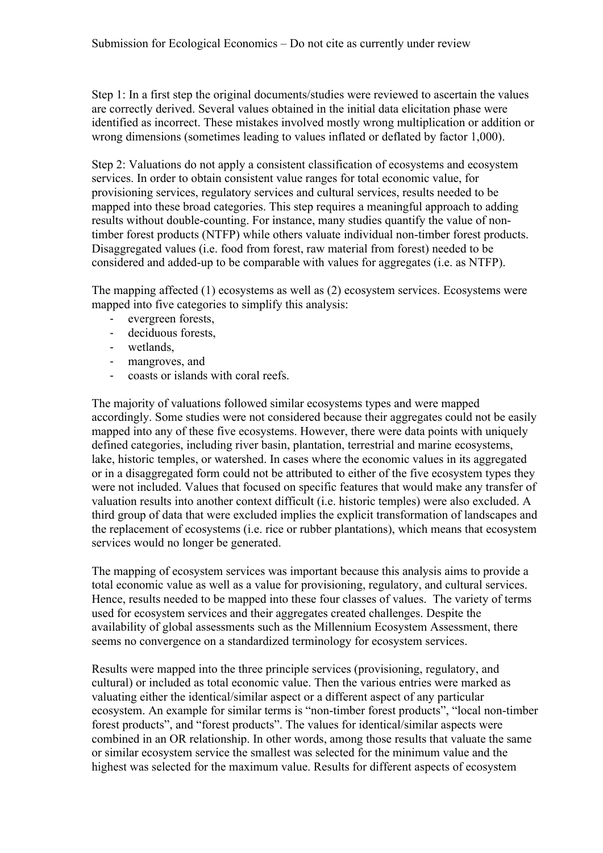Step 1: In a first step the original documents/studies were reviewed to ascertain the values are correctly derived. Several values obtained in the initial data elicitation phase were identified as incorrect. These mistakes involved mostly wrong multiplication or addition or wrong dimensions (sometimes leading to values inflated or deflated by factor 1,000).

Step 2: Valuations do not apply a consistent classification of ecosystems and ecosystem services. In order to obtain consistent value ranges for total economic value, for provisioning services, regulatory services and cultural services, results needed to be mapped into these broad categories. This step requires a meaningful approach to adding results without double-counting. For instance, many studies quantify the value of nontimber forest products (NTFP) while others valuate individual non-timber forest products. Disaggregated values (i.e. food from forest, raw material from forest) needed to be considered and added-up to be comparable with values for aggregates (i.e. as NTFP).

The mapping affected (1) ecosystems as well as (2) ecosystem services. Ecosystems were mapped into five categories to simplify this analysis:

- evergreen forests,
- deciduous forests,
- wetlands,
- mangroves, and
- coasts or islands with coral reefs.

The majority of valuations followed similar ecosystems types and were mapped accordingly. Some studies were not considered because their aggregates could not be easily mapped into any of these five ecosystems. However, there were data points with uniquely defined categories, including river basin, plantation, terrestrial and marine ecosystems, lake, historic temples, or watershed. In cases where the economic values in its aggregated or in a disaggregated form could not be attributed to either of the five ecosystem types they were not included. Values that focused on specific features that would make any transfer of valuation results into another context difficult (i.e. historic temples) were also excluded. A third group of data that were excluded implies the explicit transformation of landscapes and the replacement of ecosystems (i.e. rice or rubber plantations), which means that ecosystem services would no longer be generated.

The mapping of ecosystem services was important because this analysis aims to provide a total economic value as well as a value for provisioning, regulatory, and cultural services. Hence, results needed to be mapped into these four classes of values. The variety of terms used for ecosystem services and their aggregates created challenges. Despite the availability of global assessments such as the Millennium Ecosystem Assessment, there seems no convergence on a standardized terminology for ecosystem services.

Results were mapped into the three principle services (provisioning, regulatory, and cultural) or included as total economic value. Then the various entries were marked as valuating either the identical/similar aspect or a different aspect of any particular ecosystem. An example for similar terms is "non-timber forest products", "local non-timber forest products", and "forest products". The values for identical/similar aspects were combined in an OR relationship. In other words, among those results that valuate the same or similar ecosystem service the smallest was selected for the minimum value and the highest was selected for the maximum value. Results for different aspects of ecosystem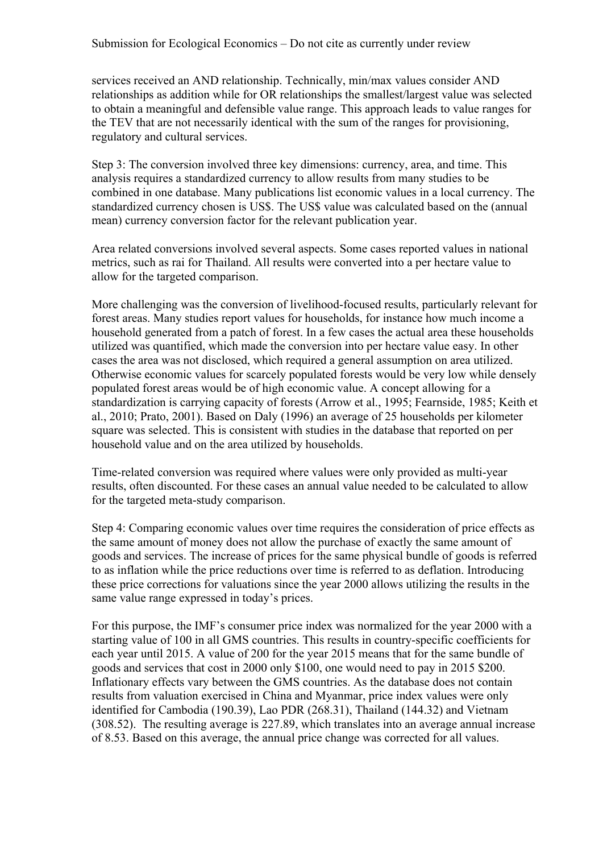services received an AND relationship. Technically, min/max values consider AND relationships as addition while for OR relationships the smallest/largest value was selected to obtain a meaningful and defensible value range. This approach leads to value ranges for the TEV that are not necessarily identical with the sum of the ranges for provisioning, regulatory and cultural services.

Step 3: The conversion involved three key dimensions: currency, area, and time. This analysis requires a standardized currency to allow results from many studies to be combined in one database. Many publications list economic values in a local currency. The standardized currency chosen is US\$. The US\$ value was calculated based on the (annual mean) currency conversion factor for the relevant publication year.

Area related conversions involved several aspects. Some cases reported values in national metrics, such as rai for Thailand. All results were converted into a per hectare value to allow for the targeted comparison.

More challenging was the conversion of livelihood-focused results, particularly relevant for forest areas. Many studies report values for households, for instance how much income a household generated from a patch of forest. In a few cases the actual area these households utilized was quantified, which made the conversion into per hectare value easy. In other cases the area was not disclosed, which required a general assumption on area utilized. Otherwise economic values for scarcely populated forests would be very low while densely populated forest areas would be of high economic value. A concept allowing for a standardization is carrying capacity of forests (Arrow et al., 1995; Fearnside, 1985; Keith et al., 2010; Prato, 2001). Based on Daly (1996) an average of 25 households per kilometer square was selected. This is consistent with studies in the database that reported on per household value and on the area utilized by households.

Time-related conversion was required where values were only provided as multi-year results, often discounted. For these cases an annual value needed to be calculated to allow for the targeted meta-study comparison.

Step 4: Comparing economic values over time requires the consideration of price effects as the same amount of money does not allow the purchase of exactly the same amount of goods and services. The increase of prices for the same physical bundle of goods is referred to as inflation while the price reductions over time is referred to as deflation. Introducing these price corrections for valuations since the year 2000 allows utilizing the results in the same value range expressed in today's prices.

For this purpose, the IMF's consumer price index was normalized for the year 2000 with a starting value of 100 in all GMS countries. This results in country-specific coefficients for each year until 2015. A value of 200 for the year 2015 means that for the same bundle of goods and services that cost in 2000 only \$100, one would need to pay in 2015 \$200. Inflationary effects vary between the GMS countries. As the database does not contain results from valuation exercised in China and Myanmar, price index values were only identified for Cambodia (190.39), Lao PDR (268.31), Thailand (144.32) and Vietnam (308.52). The resulting average is 227.89, which translates into an average annual increase of 8.53. Based on this average, the annual price change was corrected for all values.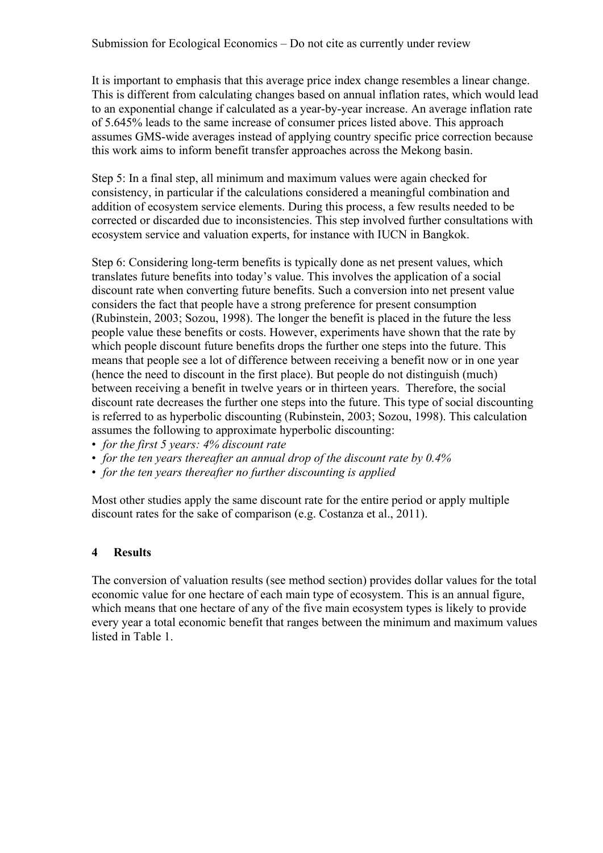It is important to emphasis that this average price index change resembles a linear change. This is different from calculating changes based on annual inflation rates, which would lead to an exponential change if calculated as a year-by-year increase. An average inflation rate of 5.645% leads to the same increase of consumer prices listed above. This approach assumes GMS-wide averages instead of applying country specific price correction because this work aims to inform benefit transfer approaches across the Mekong basin.

Step 5: In a final step, all minimum and maximum values were again checked for consistency, in particular if the calculations considered a meaningful combination and addition of ecosystem service elements. During this process, a few results needed to be corrected or discarded due to inconsistencies. This step involved further consultations with ecosystem service and valuation experts, for instance with IUCN in Bangkok.

Step 6: Considering long-term benefits is typically done as net present values, which translates future benefits into today's value. This involves the application of a social discount rate when converting future benefits. Such a conversion into net present value considers the fact that people have a strong preference for present consumption (Rubinstein, 2003; Sozou, 1998). The longer the benefit is placed in the future the less people value these benefits or costs. However, experiments have shown that the rate by which people discount future benefits drops the further one steps into the future. This means that people see a lot of difference between receiving a benefit now or in one year (hence the need to discount in the first place). But people do not distinguish (much) between receiving a benefit in twelve years or in thirteen years. Therefore, the social discount rate decreases the further one steps into the future. This type of social discounting is referred to as hyperbolic discounting (Rubinstein, 2003; Sozou, 1998). This calculation assumes the following to approximate hyperbolic discounting:

- *for the first 5 years: 4% discount rate*
- *for the ten years thereafter an annual drop of the discount rate by 0.4%*
- *for the ten years thereafter no further discounting is applied*

Most other studies apply the same discount rate for the entire period or apply multiple discount rates for the sake of comparison (e.g. Costanza et al., 2011).

#### **4 Results**

The conversion of valuation results (see method section) provides dollar values for the total economic value for one hectare of each main type of ecosystem. This is an annual figure, which means that one hectare of any of the five main ecosystem types is likely to provide every year a total economic benefit that ranges between the minimum and maximum values listed in Table 1.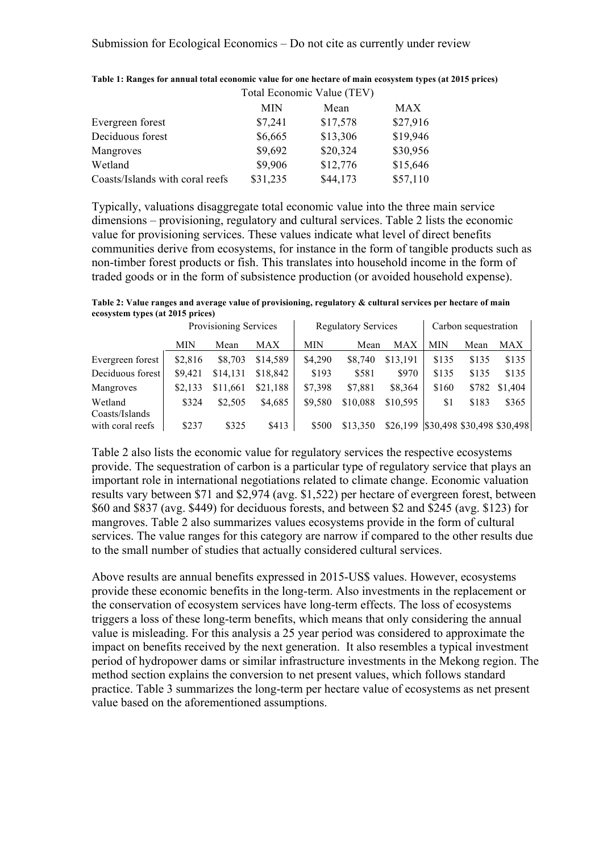|                                 | Total Economic Value (TEV) |          |          |
|---------------------------------|----------------------------|----------|----------|
|                                 | <b>MIN</b>                 | Mean     | MAX      |
| Evergreen forest                | \$7,241                    | \$17,578 | \$27,916 |
| Deciduous forest                | \$6,665                    | \$13,306 | \$19,946 |
| Mangroves                       | \$9,692                    | \$20,324 | \$30,956 |
| Wetland                         | \$9,906                    | \$12,776 | \$15,646 |
| Coasts/Islands with coral reefs | \$31,235                   | \$44,173 | \$57,110 |

| Table 1: Ranges for annual total economic value for one hectare of main ecosystem types (at 2015 prices) |
|----------------------------------------------------------------------------------------------------------|
| Total E <sub>conom</sub> is Vol. (TEN)                                                                   |

Typically, valuations disaggregate total economic value into the three main service dimensions – provisioning, regulatory and cultural services. Table 2 lists the economic value for provisioning services. These values indicate what level of direct benefits communities derive from ecosystems, for instance in the form of tangible products such as non-timber forest products or fish. This translates into household income in the form of traded goods or in the form of subsistence production (or avoided household expense).

**Table 2: Value ranges and average value of provisioning, regulatory & cultural services per hectare of main ecosystem types (at 2015 prices)**

|                           | Provisioning Services |          | <b>Regulatory Services</b> |            |          | Carbon sequestration |            |       |                            |
|---------------------------|-----------------------|----------|----------------------------|------------|----------|----------------------|------------|-------|----------------------------|
|                           | MIN                   | Mean     | <b>MAX</b>                 | <b>MIN</b> | Mean     | MAX                  | <b>MIN</b> | Mean  | MAX                        |
| Evergreen forest          | \$2,816               | \$8,703  | \$14,589                   | \$4,290    | \$8,740  | \$13,191             | \$135      | \$135 | \$135                      |
| Deciduous forest          | \$9,421               | \$14,131 | \$18,842                   | \$193      | \$581    | \$970                | \$135      | \$135 | \$135                      |
| Mangroves                 | \$2,133               | \$11,661 | \$21.188                   | \$7,398    | \$7,881  | \$8,364              | \$160      | \$782 | \$1,404                    |
| Wetland<br>Coasts/Islands | \$324                 | \$2,505  | \$4,685                    | \$9,580    | \$10,088 | \$10,595             | \$1        | \$183 | \$365                      |
| with coral reefs          | \$237                 | \$325    | \$413                      | \$500      | \$13,350 | \$26,199             |            |       | \$30,498 \$30,498 \$30,498 |

Table 2 also lists the economic value for regulatory services the respective ecosystems provide. The sequestration of carbon is a particular type of regulatory service that plays an important role in international negotiations related to climate change. Economic valuation results vary between \$71 and \$2,974 (avg. \$1,522) per hectare of evergreen forest, between \$60 and \$837 (avg. \$449) for deciduous forests, and between \$2 and \$245 (avg. \$123) for mangroves. Table 2 also summarizes values ecosystems provide in the form of cultural services. The value ranges for this category are narrow if compared to the other results due to the small number of studies that actually considered cultural services.

Above results are annual benefits expressed in 2015-US\$ values. However, ecosystems provide these economic benefits in the long-term. Also investments in the replacement or the conservation of ecosystem services have long-term effects. The loss of ecosystems triggers a loss of these long-term benefits, which means that only considering the annual value is misleading. For this analysis a 25 year period was considered to approximate the impact on benefits received by the next generation. It also resembles a typical investment period of hydropower dams or similar infrastructure investments in the Mekong region. The method section explains the conversion to net present values, which follows standard practice. Table 3 summarizes the long-term per hectare value of ecosystems as net present value based on the aforementioned assumptions.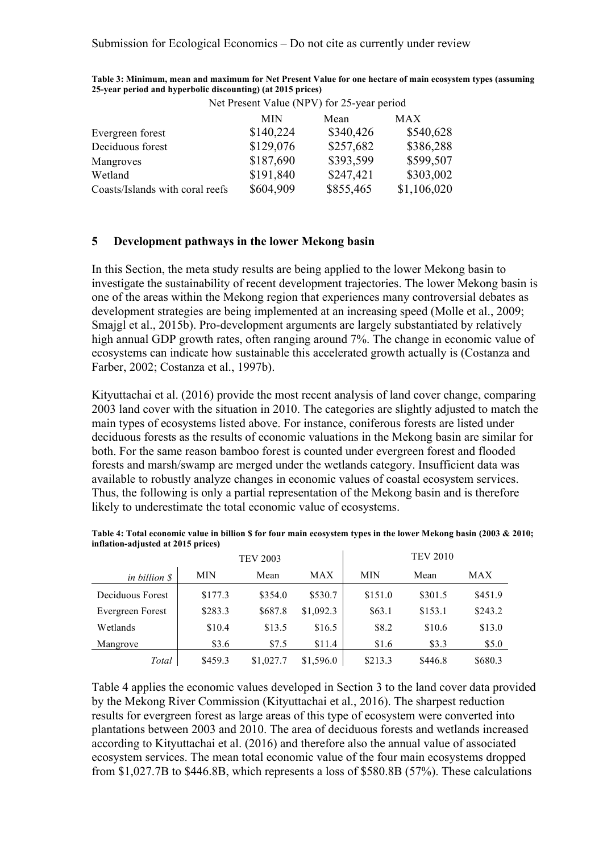|                                 | Net Present Value (NPV) for 25-year period |           |             |  |
|---------------------------------|--------------------------------------------|-----------|-------------|--|
|                                 | <b>MIN</b>                                 | Mean      | <b>MAX</b>  |  |
| Evergreen forest                | \$140,224                                  | \$340,426 | \$540,628   |  |
| Deciduous forest                | \$129,076                                  | \$257,682 | \$386,288   |  |
| Mangroves                       | \$187,690                                  | \$393,599 | \$599,507   |  |
| Wetland                         | \$191,840                                  | \$247,421 | \$303,002   |  |
| Coasts/Islands with coral reefs | \$604,909                                  | \$855,465 | \$1,106,020 |  |

**Table 3: Minimum, mean and maximum for Net Present Value for one hectare of main ecosystem types (assuming 25-year period and hyperbolic discounting) (at 2015 prices)**

## **5 Development pathways in the lower Mekong basin**

In this Section, the meta study results are being applied to the lower Mekong basin to investigate the sustainability of recent development trajectories. The lower Mekong basin is one of the areas within the Mekong region that experiences many controversial debates as development strategies are being implemented at an increasing speed (Molle et al., 2009; Smajgl et al., 2015b). Pro-development arguments are largely substantiated by relatively high annual GDP growth rates, often ranging around 7%. The change in economic value of ecosystems can indicate how sustainable this accelerated growth actually is (Costanza and Farber, 2002; Costanza et al., 1997b).

Kityuttachai et al. (2016) provide the most recent analysis of land cover change, comparing 2003 land cover with the situation in 2010. The categories are slightly adjusted to match the main types of ecosystems listed above. For instance, coniferous forests are listed under deciduous forests as the results of economic valuations in the Mekong basin are similar for both. For the same reason bamboo forest is counted under evergreen forest and flooded forests and marsh/swamp are merged under the wetlands category. Insufficient data was available to robustly analyze changes in economic values of coastal ecosystem services. Thus, the following is only a partial representation of the Mekong basin and is therefore likely to underestimate the total economic value of ecosystems.

|                  |            | <b>TEV 2003</b> |           |            | <b>TEV 2010</b> |         |
|------------------|------------|-----------------|-----------|------------|-----------------|---------|
| in billion \$    | <b>MIN</b> | Mean            | MAX       | <b>MIN</b> | Mean            | MAX     |
| Deciduous Forest | \$177.3    | \$354.0         | \$530.7   | \$151.0    | \$301.5         | \$451.9 |
| Evergreen Forest | \$283.3    | \$687.8         | \$1,092.3 | \$63.1     | \$153.1         | \$243.2 |
| Wetlands         | \$10.4     | \$13.5          | \$16.5    | \$8.2      | \$10.6          | \$13.0  |
| Mangrove         | \$3.6      | \$7.5           | \$11.4    | \$1.6      | \$3.3           | \$5.0   |
| Total            | \$459.3    | \$1,027.7       | \$1,596.0 | \$213.3    | \$446.8         | \$680.3 |

| Table 4: Total economic value in billion \$ for four main ecosystem types in the lower Mekong basin (2003 & 2010; |  |
|-------------------------------------------------------------------------------------------------------------------|--|
| inflation-adjusted at 2015 prices)                                                                                |  |

Table 4 applies the economic values developed in Section 3 to the land cover data provided by the Mekong River Commission (Kityuttachai et al., 2016). The sharpest reduction results for evergreen forest as large areas of this type of ecosystem were converted into plantations between 2003 and 2010. The area of deciduous forests and wetlands increased according to Kityuttachai et al. (2016) and therefore also the annual value of associated ecosystem services. The mean total economic value of the four main ecosystems dropped from \$1,027.7B to \$446.8B, which represents a loss of \$580.8B (57%). These calculations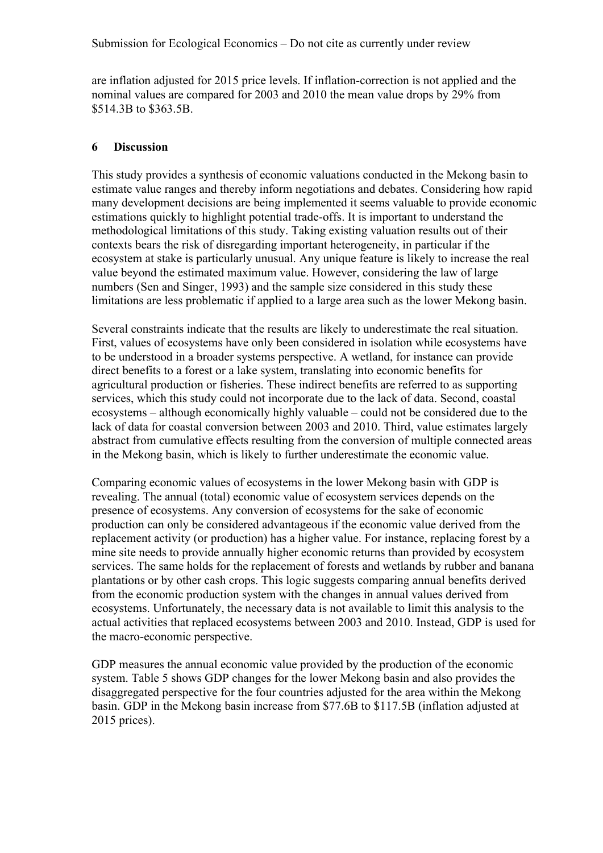are inflation adjusted for 2015 price levels. If inflation-correction is not applied and the nominal values are compared for 2003 and 2010 the mean value drops by 29% from \$514.3B to \$363.5B.

### **6 Discussion**

This study provides a synthesis of economic valuations conducted in the Mekong basin to estimate value ranges and thereby inform negotiations and debates. Considering how rapid many development decisions are being implemented it seems valuable to provide economic estimations quickly to highlight potential trade-offs. It is important to understand the methodological limitations of this study. Taking existing valuation results out of their contexts bears the risk of disregarding important heterogeneity, in particular if the ecosystem at stake is particularly unusual. Any unique feature is likely to increase the real value beyond the estimated maximum value. However, considering the law of large numbers (Sen and Singer, 1993) and the sample size considered in this study these limitations are less problematic if applied to a large area such as the lower Mekong basin.

Several constraints indicate that the results are likely to underestimate the real situation. First, values of ecosystems have only been considered in isolation while ecosystems have to be understood in a broader systems perspective. A wetland, for instance can provide direct benefits to a forest or a lake system, translating into economic benefits for agricultural production or fisheries. These indirect benefits are referred to as supporting services, which this study could not incorporate due to the lack of data. Second, coastal ecosystems – although economically highly valuable – could not be considered due to the lack of data for coastal conversion between 2003 and 2010. Third, value estimates largely abstract from cumulative effects resulting from the conversion of multiple connected areas in the Mekong basin, which is likely to further underestimate the economic value.

Comparing economic values of ecosystems in the lower Mekong basin with GDP is revealing. The annual (total) economic value of ecosystem services depends on the presence of ecosystems. Any conversion of ecosystems for the sake of economic production can only be considered advantageous if the economic value derived from the replacement activity (or production) has a higher value. For instance, replacing forest by a mine site needs to provide annually higher economic returns than provided by ecosystem services. The same holds for the replacement of forests and wetlands by rubber and banana plantations or by other cash crops. This logic suggests comparing annual benefits derived from the economic production system with the changes in annual values derived from ecosystems. Unfortunately, the necessary data is not available to limit this analysis to the actual activities that replaced ecosystems between 2003 and 2010. Instead, GDP is used for the macro-economic perspective.

GDP measures the annual economic value provided by the production of the economic system. Table 5 shows GDP changes for the lower Mekong basin and also provides the disaggregated perspective for the four countries adjusted for the area within the Mekong basin. GDP in the Mekong basin increase from \$77.6B to \$117.5B (inflation adjusted at 2015 prices).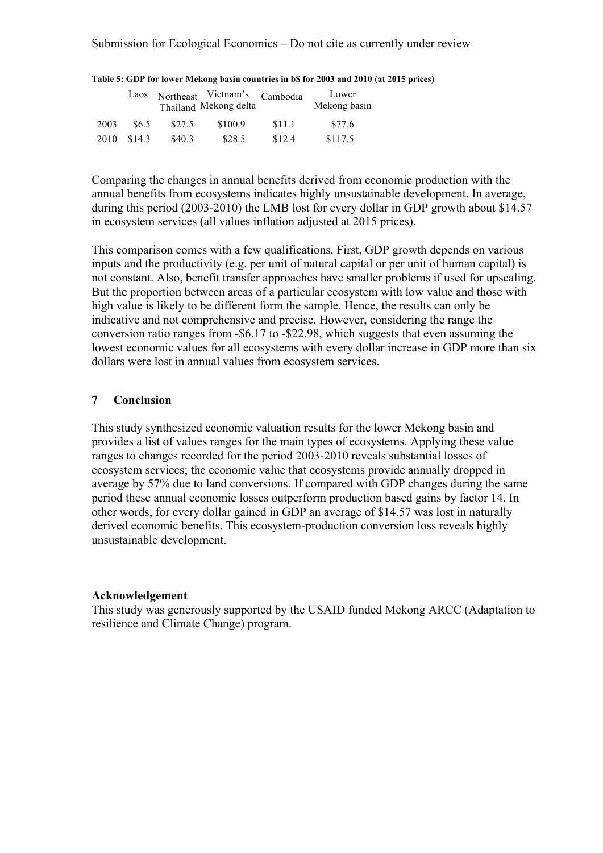|      | Laos   |        | Northeast Vietnam's Cambodia<br>Thailand Mekong delta |        | Lower<br>Mekong basin |
|------|--------|--------|-------------------------------------------------------|--------|-----------------------|
| 2003 | \$6.5  | \$27.5 | \$100.9                                               | \$11.1 | \$77.6                |
| 2010 | \$14.3 | \$40.3 | \$28.5                                                | \$12.4 | \$117.5               |

#### **Table 5: GDP for lower Mekong basin countries in b\$ for 2003 and 2010 (at 2015 prices)**

Comparing the changes in annual benefits derived from economic production with the annual benefits from ecosystems indicates highly unsustainable development. In average, during this period (2003-2010) the LMB lost for every dollar in GDP growth about \$14.57 in ecosystem services (all values inflation adjusted at 2015 prices).

This comparison comes with a few qualifications. First, GDP growth depends on various inputs and the productivity (e.g. per unit of natural capital or per unit of human capital) is not constant. Also, benefit transfer approaches have smaller problems if used for upscaling. But the proportion between areas of a particular ecosystem with low value and those with high value is likely to be different form the sample. Hence, the results can only be indicative and not comprehensive and precise. However, considering the range the conversion ratio ranges from -\$6.17 to -\$22.98, which suggests that even assuming the lowest economic values for all ecosystems with every dollar increase in GDP more than six dollars were lost in annual values from ecosystem services.

## **7 Conclusion**

This study synthesized economic valuation results for the lower Mekong basin and provides a list of values ranges for the main types of ecosystems. Applying these value ranges to changes recorded for the period 2003-2010 reveals substantial losses of ecosystem services; the economic value that ecosystems provide annually dropped in average by 57% due to land conversions. If compared with GDP changes during the same period these annual economic losses outperform production based gains by factor 14. In other words, for every dollar gained in GDP an average of \$14.57 was lost in naturally derived economic benefits. This ecosystem-production conversion loss reveals highly unsustainable development.

#### **Acknowledgement**

This study was generously supported by the USAID funded Mekong ARCC (Adaptation to resilience and Climate Change) program.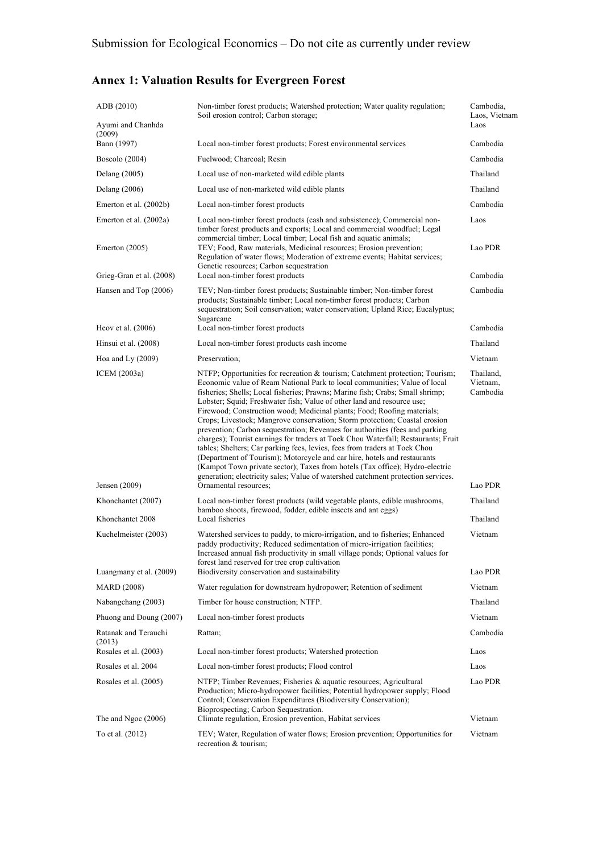# **Annex 1: Valuation Results for Evergreen Forest**

| ADB (2010)                      | Non-timber forest products; Watershed protection; Water quality regulation;<br>Soil erosion control; Carbon storage;                                                                                                                                                                                                                                                                                                                                                                                                                                                                                                                                                                                                                                                                                                                                                                                                                                                             | Cambodia,<br>Laos, Vietnam        |
|---------------------------------|----------------------------------------------------------------------------------------------------------------------------------------------------------------------------------------------------------------------------------------------------------------------------------------------------------------------------------------------------------------------------------------------------------------------------------------------------------------------------------------------------------------------------------------------------------------------------------------------------------------------------------------------------------------------------------------------------------------------------------------------------------------------------------------------------------------------------------------------------------------------------------------------------------------------------------------------------------------------------------|-----------------------------------|
| Ayumi and Chanhda<br>(2009)     |                                                                                                                                                                                                                                                                                                                                                                                                                                                                                                                                                                                                                                                                                                                                                                                                                                                                                                                                                                                  | Laos                              |
| Bann (1997)                     | Local non-timber forest products; Forest environmental services                                                                                                                                                                                                                                                                                                                                                                                                                                                                                                                                                                                                                                                                                                                                                                                                                                                                                                                  | Cambodia                          |
| Boscolo $(2004)$                | Fuelwood; Charcoal; Resin                                                                                                                                                                                                                                                                                                                                                                                                                                                                                                                                                                                                                                                                                                                                                                                                                                                                                                                                                        | Cambodia                          |
| Delang (2005)                   | Local use of non-marketed wild edible plants                                                                                                                                                                                                                                                                                                                                                                                                                                                                                                                                                                                                                                                                                                                                                                                                                                                                                                                                     | Thailand                          |
| Delang $(2006)$                 | Local use of non-marketed wild edible plants                                                                                                                                                                                                                                                                                                                                                                                                                                                                                                                                                                                                                                                                                                                                                                                                                                                                                                                                     | Thailand                          |
| Emerton et al. (2002b)          | Local non-timber forest products                                                                                                                                                                                                                                                                                                                                                                                                                                                                                                                                                                                                                                                                                                                                                                                                                                                                                                                                                 | Cambodia                          |
| Emerton et al. (2002a)          | Local non-timber forest products (cash and subsistence); Commercial non-<br>timber forest products and exports; Local and commercial woodfuel; Legal<br>commercial timber; Local timber; Local fish and aquatic animals;                                                                                                                                                                                                                                                                                                                                                                                                                                                                                                                                                                                                                                                                                                                                                         | Laos                              |
| Emerton $(2005)$                | TEV; Food, Raw materials, Medicinal resources; Erosion prevention;<br>Regulation of water flows; Moderation of extreme events; Habitat services;<br>Genetic resources; Carbon sequestration                                                                                                                                                                                                                                                                                                                                                                                                                                                                                                                                                                                                                                                                                                                                                                                      | Lao PDR                           |
| Grieg-Gran et al. (2008)        | Local non-timber forest products                                                                                                                                                                                                                                                                                                                                                                                                                                                                                                                                                                                                                                                                                                                                                                                                                                                                                                                                                 | Cambodia                          |
| Hansen and Top (2006)           | TEV; Non-timber forest products; Sustainable timber; Non-timber forest<br>products; Sustainable timber; Local non-timber forest products; Carbon<br>sequestration; Soil conservation; water conservation; Upland Rice; Eucalyptus;<br>Sugarcane                                                                                                                                                                                                                                                                                                                                                                                                                                                                                                                                                                                                                                                                                                                                  | Cambodia                          |
| Heov et al. $(2006)$            | Local non-timber forest products                                                                                                                                                                                                                                                                                                                                                                                                                                                                                                                                                                                                                                                                                                                                                                                                                                                                                                                                                 | Cambodia                          |
| Hinsui et al. (2008)            | Local non-timber forest products cash income                                                                                                                                                                                                                                                                                                                                                                                                                                                                                                                                                                                                                                                                                                                                                                                                                                                                                                                                     | Thailand                          |
| Hoa and Ly $(2009)$             | Preservation:                                                                                                                                                                                                                                                                                                                                                                                                                                                                                                                                                                                                                                                                                                                                                                                                                                                                                                                                                                    | Vietnam                           |
| ICEM (2003a)                    | NTFP; Opportunities for recreation & tourism; Catchment protection; Tourism;<br>Economic value of Ream National Park to local communities; Value of local<br>fisheries; Shells; Local fisheries; Prawns; Marine fish; Crabs; Small shrimp;<br>Lobster; Squid; Freshwater fish; Value of other land and resource use;<br>Firewood; Construction wood; Medicinal plants; Food; Roofing materials;<br>Crops; Livestock; Mangrove conservation; Storm protection; Coastal erosion<br>prevention; Carbon sequestration; Revenues for authorities (fees and parking<br>charges); Tourist earnings for traders at Toek Chou Waterfall; Restaurants; Fruit<br>tables; Shelters; Car parking fees, levies, fees from traders at Toek Chou<br>(Department of Tourism); Motorcycle and car hire, hotels and restaurants<br>(Kampot Town private sector); Taxes from hotels (Tax office); Hydro-electric<br>generation; electricity sales; Value of watershed catchment protection services. | Thailand,<br>Vietnam,<br>Cambodia |
| Jensen (2009)                   | Ornamental resources;                                                                                                                                                                                                                                                                                                                                                                                                                                                                                                                                                                                                                                                                                                                                                                                                                                                                                                                                                            | Lao PDR                           |
| Khonchantet (2007)              | Local non-timber forest products (wild vegetable plants, edible mushrooms,<br>bamboo shoots, firewood, fodder, edible insects and ant eggs)                                                                                                                                                                                                                                                                                                                                                                                                                                                                                                                                                                                                                                                                                                                                                                                                                                      | Thailand                          |
| Khonchantet 2008                | Local fisheries                                                                                                                                                                                                                                                                                                                                                                                                                                                                                                                                                                                                                                                                                                                                                                                                                                                                                                                                                                  | Thailand                          |
| Kuchelmeister (2003)            | Watershed services to paddy, to micro-irrigation, and to fisheries; Enhanced<br>paddy productivity; Reduced sedimentation of micro-irrigation facilities;<br>Increased annual fish productivity in small village ponds; Optional values for<br>forest land reserved for tree crop cultivation                                                                                                                                                                                                                                                                                                                                                                                                                                                                                                                                                                                                                                                                                    | Vietnam                           |
| Luangmany et al. (2009)         | Biodiversity conservation and sustainability                                                                                                                                                                                                                                                                                                                                                                                                                                                                                                                                                                                                                                                                                                                                                                                                                                                                                                                                     | Lao PDR                           |
| <b>MARD</b> (2008)              | Water regulation for downstream hydropower; Retention of sediment                                                                                                                                                                                                                                                                                                                                                                                                                                                                                                                                                                                                                                                                                                                                                                                                                                                                                                                | Vietnam                           |
| Nabangchang (2003)              | Timber for house construction; NTFP.                                                                                                                                                                                                                                                                                                                                                                                                                                                                                                                                                                                                                                                                                                                                                                                                                                                                                                                                             | Thailand                          |
| Phuong and Doung (2007)         | Local non-timber forest products                                                                                                                                                                                                                                                                                                                                                                                                                                                                                                                                                                                                                                                                                                                                                                                                                                                                                                                                                 | Vietnam                           |
| Ratanak and Terauchi            | Rattan;                                                                                                                                                                                                                                                                                                                                                                                                                                                                                                                                                                                                                                                                                                                                                                                                                                                                                                                                                                          | Cambodia                          |
| (2013)<br>Rosales et al. (2003) | Local non-timber forest products; Watershed protection                                                                                                                                                                                                                                                                                                                                                                                                                                                                                                                                                                                                                                                                                                                                                                                                                                                                                                                           | Laos                              |
| Rosales et al. 2004             | Local non-timber forest products; Flood control                                                                                                                                                                                                                                                                                                                                                                                                                                                                                                                                                                                                                                                                                                                                                                                                                                                                                                                                  | Laos                              |
| Rosales et al. (2005)           | NTFP; Timber Revenues; Fisheries & aquatic resources; Agricultural<br>Production; Micro-hydropower facilities; Potential hydropower supply; Flood<br>Control; Conservation Expenditures (Biodiversity Conservation);<br>Bioprospecting; Carbon Sequestration.                                                                                                                                                                                                                                                                                                                                                                                                                                                                                                                                                                                                                                                                                                                    | Lao PDR                           |
| The and Ngoc $(2006)$           | Climate regulation, Erosion prevention, Habitat services                                                                                                                                                                                                                                                                                                                                                                                                                                                                                                                                                                                                                                                                                                                                                                                                                                                                                                                         | Vietnam                           |
| To et al. (2012)                | TEV; Water, Regulation of water flows; Erosion prevention; Opportunities for<br>recreation & tourism;                                                                                                                                                                                                                                                                                                                                                                                                                                                                                                                                                                                                                                                                                                                                                                                                                                                                            | Vietnam                           |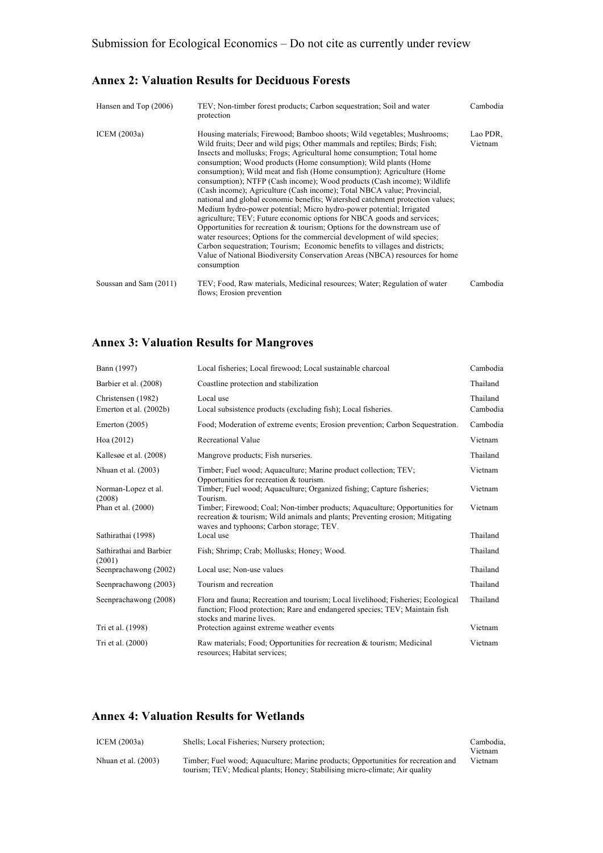## **Annex 2: Valuation Results for Deciduous Forests**

| Hansen and Top (2006)  | TEV; Non-timber forest products; Carbon sequestration; Soil and water<br>protection                                                                                                                                                                                                                                                                                                                                                                                                                                                                                                                                                                                                                                                                                                                                                                                                                                                                                                                                                                                                                            | Cambodia            |
|------------------------|----------------------------------------------------------------------------------------------------------------------------------------------------------------------------------------------------------------------------------------------------------------------------------------------------------------------------------------------------------------------------------------------------------------------------------------------------------------------------------------------------------------------------------------------------------------------------------------------------------------------------------------------------------------------------------------------------------------------------------------------------------------------------------------------------------------------------------------------------------------------------------------------------------------------------------------------------------------------------------------------------------------------------------------------------------------------------------------------------------------|---------------------|
| ICEM (2003a)           | Housing materials; Firewood; Bamboo shoots; Wild vegetables; Mushrooms;<br>Wild fruits; Deer and wild pigs; Other mammals and reptiles; Birds; Fish;<br>Insects and mollusks; Frogs; Agricultural home consumption; Total home<br>consumption; Wood products (Home consumption); Wild plants (Home<br>consumption); Wild meat and fish (Home consumption); Agriculture (Home<br>consumption); NTFP (Cash income); Wood products (Cash income); Wildlife<br>(Cash income); Agriculture (Cash income); Total NBCA value; Provincial,<br>national and global economic benefits; Watershed catchment protection values;<br>Medium hydro-power potential; Micro hydro-power potential; Irrigated<br>agriculture; TEV; Future economic options for NBCA goods and services;<br>Opportunities for recreation $\&$ tourism; Options for the downstream use of<br>water resources; Options for the commercial development of wild species;<br>Carbon sequestration; Tourism; Economic benefits to villages and districts;<br>Value of National Biodiversity Conservation Areas (NBCA) resources for home<br>consumption | Lao PDR.<br>Vietnam |
| Soussan and Sam (2011) | TEV; Food, Raw materials, Medicinal resources; Water; Regulation of water<br>flows; Erosion prevention                                                                                                                                                                                                                                                                                                                                                                                                                                                                                                                                                                                                                                                                                                                                                                                                                                                                                                                                                                                                         | Cambodia            |

## **Annex 3: Valuation Results for Mangroves**

| Bann (1997)                                  | Local fisheries; Local firewood; Local sustainable charcoal                                                                                                                                              | Cambodia             |
|----------------------------------------------|----------------------------------------------------------------------------------------------------------------------------------------------------------------------------------------------------------|----------------------|
| Barbier et al. (2008)                        | Coastline protection and stabilization                                                                                                                                                                   | Thailand             |
| Christensen (1982)<br>Emerton et al. (2002b) | Local use<br>Local subsistence products (excluding fish); Local fisheries.                                                                                                                               | Thailand<br>Cambodia |
| Emerton $(2005)$                             | Food; Moderation of extreme events; Erosion prevention; Carbon Sequestration.                                                                                                                            | Cambodia             |
| Hoa (2012)                                   | Recreational Value                                                                                                                                                                                       | Vietnam              |
| Kallesøe et al. (2008)                       | Mangrove products; Fish nurseries.                                                                                                                                                                       | Thailand             |
| Nhuan et al. $(2003)$                        | Timber; Fuel wood; Aquaculture; Marine product collection; TEV;<br>Opportunities for recreation $&$ tourism.                                                                                             | Vietnam              |
| Norman-Lopez et al.<br>(2008)                | Timber; Fuel wood; Aquaculture; Organized fishing; Capture fisheries;<br>Tourism.                                                                                                                        | Vietnam              |
| Phan et al. (2000)                           | Timber; Firewood; Coal; Non-timber products; Aquaculture; Opportunities for<br>recreation & tourism; Wild animals and plants; Preventing erosion; Mitigating<br>waves and typhoons; Carbon storage; TEV. | Vietnam              |
| Sathirathai (1998)                           | Local use                                                                                                                                                                                                | Thailand             |
| Sathirathai and Barbier<br>(2001)            | Fish; Shrimp; Crab; Mollusks; Honey; Wood.                                                                                                                                                               | Thailand             |
| Seenprachawong (2002)                        | Local use; Non-use values                                                                                                                                                                                | Thailand             |
| Seenprachawong (2003)                        | Tourism and recreation                                                                                                                                                                                   | Thailand             |
| Seenprachawong (2008)                        | Flora and fauna; Recreation and tourism; Local livelihood; Fisheries; Ecological<br>function; Flood protection; Rare and endangered species; TEV; Maintain fish<br>stocks and marine lives.              | Thailand             |
| Tri et al. (1998)                            | Protection against extreme weather events                                                                                                                                                                | Vietnam              |
| Tri et al. (2000)                            | Raw materials; Food; Opportunities for recreation & tourism; Medicinal<br>resources; Habitat services;                                                                                                   | Vietnam              |

## **Annex 4: Valuation Results for Wetlands**

| ICEM $(2003a)$        | Shells: Local Fisheries: Nursery protection:                                                                                                                     | Cambodia. |
|-----------------------|------------------------------------------------------------------------------------------------------------------------------------------------------------------|-----------|
|                       |                                                                                                                                                                  | Vietnam   |
| Nhuan et al. $(2003)$ | Timber; Fuel wood; Aquaculture; Marine products; Opportunities for recreation and<br>tourism; TEV; Medical plants; Honey; Stabilising micro-climate; Air quality | Vietnam   |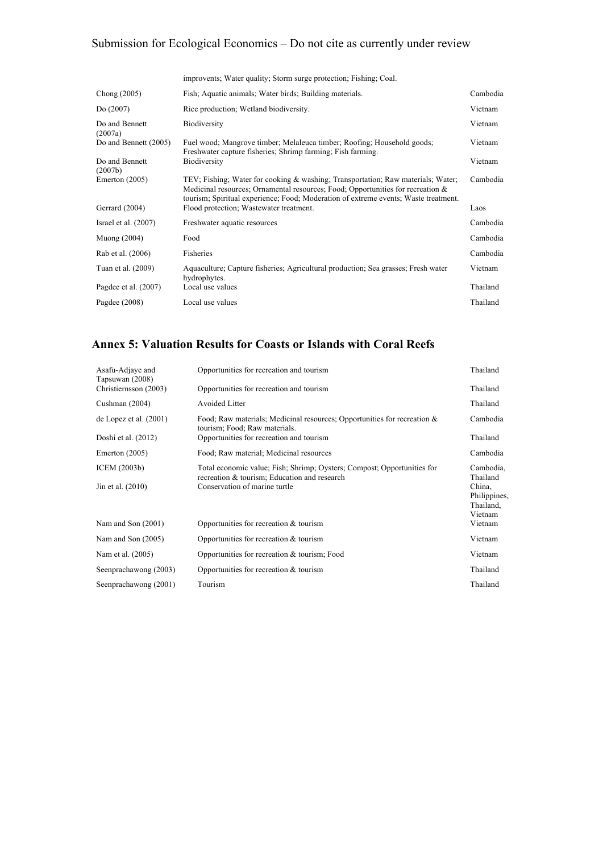|                           | improvents; Water quality; Storm surge protection; Fishing; Coal.                                                                                                                                                                                             |          |
|---------------------------|---------------------------------------------------------------------------------------------------------------------------------------------------------------------------------------------------------------------------------------------------------------|----------|
| Chong $(2005)$            | Fish; Aquatic animals; Water birds; Building materials.                                                                                                                                                                                                       | Cambodia |
| Do(2007)                  | Rice production; Wetland biodiversity.                                                                                                                                                                                                                        | Vietnam  |
| Do and Bennett<br>(2007a) | Biodiversity                                                                                                                                                                                                                                                  | Vietnam  |
| Do and Bennett (2005)     | Fuel wood; Mangrove timber; Melaleuca timber; Roofing; Household goods;<br>Freshwater capture fisheries; Shrimp farming; Fish farming.                                                                                                                        | Vietnam  |
| Do and Bennett<br>(2007b) | Biodiversity                                                                                                                                                                                                                                                  | Vietnam  |
| Emerton $(2005)$          | TEV; Fishing; Water for cooking & washing; Transportation; Raw materials; Water;<br>Medicinal resources; Ornamental resources; Food; Opportunities for recreation $\&$<br>tourism; Spiritual experience; Food; Moderation of extreme events; Waste treatment. | Cambodia |
| Gerrard $(2004)$          | Flood protection; Wastewater treatment.                                                                                                                                                                                                                       | Laos     |
| Israel et al. $(2007)$    | Freshwater aquatic resources                                                                                                                                                                                                                                  | Cambodia |
| Muong $(2004)$            | Food                                                                                                                                                                                                                                                          | Cambodia |
| Rab et al. (2006)         | Fisheries                                                                                                                                                                                                                                                     | Cambodia |
| Tuan et al. (2009)        | Aquaculture; Capture fisheries; Agricultural production; Sea grasses; Fresh water<br>hydrophytes.                                                                                                                                                             | Vietnam  |
| Pagdee et al. (2007)      | Local use values                                                                                                                                                                                                                                              | Thailand |
| Pagdee $(2008)$           | Local use values                                                                                                                                                                                                                                              | Thailand |

## **Annex 5: Valuation Results for Coasts or Islands with Coral Reefs**

| Opportunities for recreation and tourism                                                                                                                 | Thailand                                                                |
|----------------------------------------------------------------------------------------------------------------------------------------------------------|-------------------------------------------------------------------------|
| Opportunities for recreation and tourism                                                                                                                 | Thailand                                                                |
| Avoided Litter                                                                                                                                           | Thailand                                                                |
| Food; Raw materials; Medicinal resources; Opportunities for recreation $\&$                                                                              | Cambodia                                                                |
| Opportunities for recreation and tourism                                                                                                                 | Thailand                                                                |
| Food; Raw material; Medicinal resources                                                                                                                  | Cambodia                                                                |
| Total economic value; Fish; Shrimp; Oysters; Compost; Opportunities for<br>recreation & tourism; Education and research<br>Conservation of marine turtle | Cambodia,<br>Thailand<br>China,<br>Philippines,<br>Thailand,<br>Vietnam |
| Opportunities for recreation $&$ tourism                                                                                                                 | Vietnam                                                                 |
| Opportunities for recreation $&$ tourism                                                                                                                 | Vietnam                                                                 |
| Opportunities for recreation & tourism; Food                                                                                                             | Vietnam                                                                 |
| Opportunities for recreation $&$ tourism                                                                                                                 | Thailand                                                                |
| Tourism                                                                                                                                                  | Thailand                                                                |
|                                                                                                                                                          | tourism; Food; Raw materials.                                           |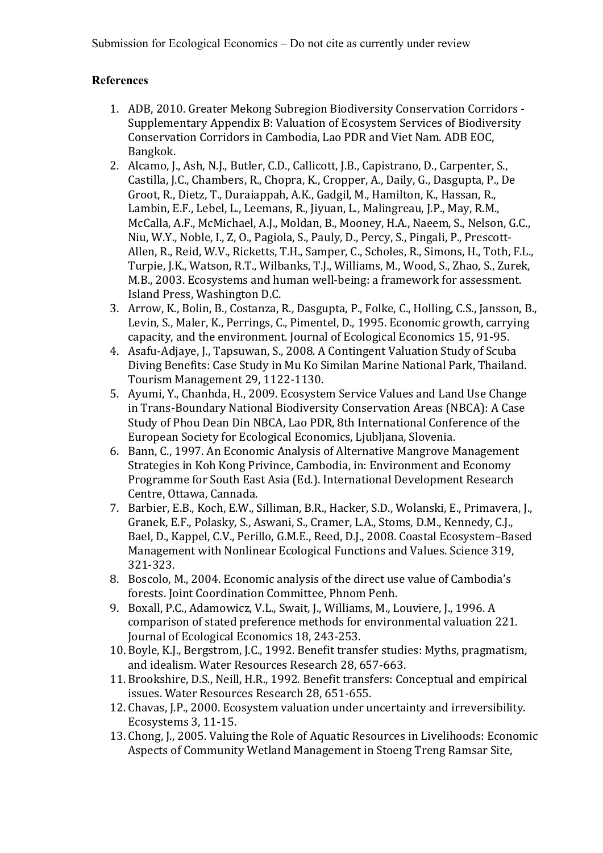## **References**

- 1. ADB, 2010. Greater Mekong Subregion Biodiversity Conservation Corridors -Supplementary Appendix B: Valuation of Ecosystem Services of Biodiversity Conservation Corridors in Cambodia, Lao PDR and Viet Nam. ADB EOC, Bangkok.
- 2. Alcamo, J., Ash, N.J., Butler, C.D., Callicott, J.B., Capistrano, D., Carpenter, S., Castilla, J.C., Chambers, R., Chopra, K., Cropper, A., Daily, G., Dasgupta, P., De Groot, R., Dietz, T., Duraiappah, A.K., Gadgil, M., Hamilton, K., Hassan, R., Lambin, E.F., Lebel, L., Leemans, R., Jiyuan, L., Malingreau, J.P., May, R.M., McCalla, A.F., McMichael, A.J., Moldan, B., Mooney, H.A., Naeem, S., Nelson, G.C., Niu, W.Y., Noble, I., Z. O., Pagiola, S., Pauly, D., Percy, S., Pingali, P., Prescott-Allen, R., Reid, W.V., Ricketts, T.H., Samper, C., Scholes, R., Simons, H., Toth, F.L., Turpie, J.K., Watson, R.T., Wilbanks, T.J., Williams, M., Wood, S., Zhao, S., Zurek, M.B., 2003. Ecosystems and human well-being: a framework for assessment. Island Press, Washington D.C.
- 3. Arrow, K., Bolin, B., Costanza, R., Dasgupta, P., Folke, C., Holling, C.S., Jansson, B., Levin, S., Maler, K., Perrings, C., Pimentel, D., 1995. Economic growth, carrying capacity, and the environment. Journal of Ecological Economics 15, 91-95.
- 4. Asafu-Adjaye, J., Tapsuwan, S., 2008. A Contingent Valuation Study of Scuba Diving Benefits: Case Study in Mu Ko Similan Marine National Park, Thailand. Tourism Management 29, 1122-1130.
- 5. Ayumi, Y., Chanhda, H., 2009. Ecosystem Service Values and Land Use Change in Trans-Boundary National Biodiversity Conservation Areas (NBCA): A Case Study of Phou Dean Din NBCA, Lao PDR, 8th International Conference of the European Society for Ecological Economics, Ljubljana, Slovenia.
- 6. Bann, C., 1997. An Economic Analysis of Alternative Mangrove Management Strategies in Koh Kong Privince, Cambodia, in: Environment and Economy Programme for South East Asia (Ed.). International Development Research Centre, Ottawa, Cannada.
- 7. Barbier, E.B., Koch, E.W., Silliman, B.R., Hacker, S.D., Wolanski, E., Primavera, J., Granek, E.F., Polasky, S., Aswani, S., Cramer, L.A., Stoms, D.M., Kennedy, C.J., Bael, D., Kappel, C.V., Perillo, G.M.E., Reed, D.J., 2008. Coastal Ecosystem-Based Management with Nonlinear Ecological Functions and Values. Science 319, 321-323.
- 8. Boscolo, M., 2004. Economic analysis of the direct use value of Cambodia's forests. Joint Coordination Committee, Phnom Penh.
- 9. Boxall, P.C., Adamowicz, V.L., Swait, J., Williams, M., Louviere, J., 1996. A comparison of stated preference methods for environmental valuation 221. Journal of Ecological Economics 18, 243-253.
- 10. Boyle, K.J., Bergstrom, J.C., 1992. Benefit transfer studies: Myths, pragmatism, and idealism. Water Resources Research 28, 657-663.
- 11. Brookshire, D.S., Neill, H.R., 1992. Benefit transfers: Conceptual and empirical issues. Water Resources Research 28, 651-655.
- 12. Chavas, J.P., 2000. Ecosystem valuation under uncertainty and irreversibility. Ecosystems 3, 11-15.
- 13. Chong, J., 2005. Valuing the Role of Aquatic Resources in Livelihoods: Economic Aspects of Community Wetland Management in Stoeng Treng Ramsar Site,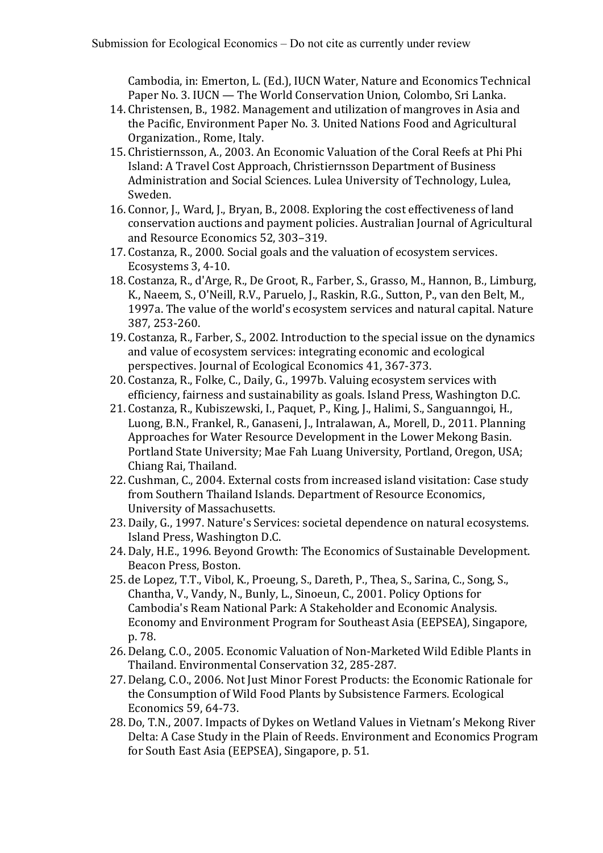Cambodia, in: Emerton, L. (Ed.), IUCN Water, Nature and Economics Technical Paper No. 3. IUCN — The World Conservation Union, Colombo, Sri Lanka.

- 14. Christensen, B., 1982. Management and utilization of mangroves in Asia and the Pacific, Environment Paper No. 3. United Nations Food and Agricultural Organization., Rome, Italy.
- 15. Christiernsson, A., 2003. An Economic Valuation of the Coral Reefs at Phi Phi Island: A Travel Cost Approach, Christiernsson Department of Business Administration and Social Sciences. Lulea University of Technology, Lulea, Sweden.
- 16. Connor, J., Ward, J., Bryan, B., 2008. Exploring the cost effectiveness of land conservation auctions and payment policies. Australian Journal of Agricultural and Resource Economics 52, 303-319.
- 17. Costanza, R., 2000. Social goals and the valuation of ecosystem services. Ecosystems 3, 4-10.
- 18. Costanza, R., d'Arge, R., De Groot, R., Farber, S., Grasso, M., Hannon, B., Limburg, K., Naeem, S., O'Neill, R.V., Paruelo, J., Raskin, R.G., Sutton, P., van den Belt, M., 1997a. The value of the world's ecosystem services and natural capital. Nature 387, 253-260.
- 19. Costanza, R., Farber, S., 2002. Introduction to the special issue on the dynamics and value of ecosystem services: integrating economic and ecological perspectives. Journal of Ecological Economics 41, 367-373.
- 20. Costanza, R., Folke, C., Daily, G., 1997b. Valuing ecosystem services with efficiency, fairness and sustainability as goals. Island Press, Washington D.C.
- 21. Costanza, R., Kubiszewski, I., Paquet, P., King, J., Halimi, S., Sanguanngoi, H., Luong, B.N., Frankel, R., Ganaseni, J., Intralawan, A., Morell, D., 2011, Planning Approaches for Water Resource Development in the Lower Mekong Basin. Portland State University; Mae Fah Luang University, Portland, Oregon, USA; Chiang Rai, Thailand.
- 22. Cushman, C., 2004. External costs from increased island visitation: Case study from Southern Thailand Islands. Department of Resource Economics, University of Massachusetts.
- 23. Daily, G., 1997. Nature's Services: societal dependence on natural ecosystems. Island Press, Washington D.C.
- 24. Daly, H.E., 1996. Beyond Growth: The Economics of Sustainable Development. Beacon Press, Boston.
- 25. de Lopez, T.T., Vibol, K., Proeung, S., Dareth, P., Thea, S., Sarina, C., Song, S., Chantha, V., Vandy, N., Bunly, L., Sinoeun, C., 2001. Policy Options for Cambodia's Ream National Park: A Stakeholder and Economic Analysis. Economy and Environment Program for Southeast Asia (EEPSEA), Singapore, p. 78.
- 26. Delang, C.O., 2005. Economic Valuation of Non-Marketed Wild Edible Plants in Thailand. Environmental Conservation 32, 285-287.
- 27. Delang, C.O., 2006. Not Just Minor Forest Products: the Economic Rationale for the Consumption of Wild Food Plants by Subsistence Farmers. Ecological Economics 59, 64-73.
- 28. Do, T.N., 2007. Impacts of Dykes on Wetland Values in Vietnam's Mekong River Delta: A Case Study in the Plain of Reeds. Environment and Economics Program for South East Asia (EEPSEA), Singapore, p. 51.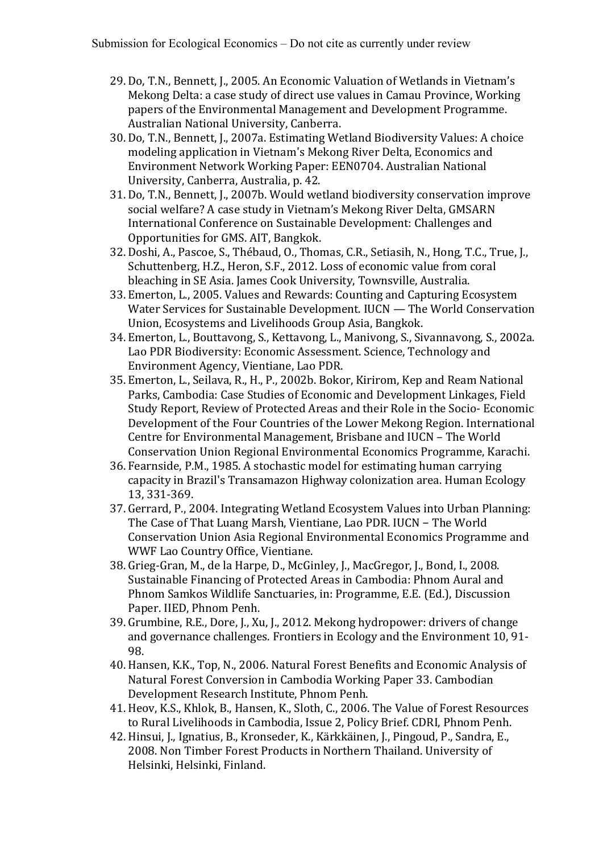- 29. Do, T.N., Bennett, J., 2005. An Economic Valuation of Wetlands in Vietnam's Mekong Delta: a case study of direct use values in Camau Province, Working papers of the Environmental Management and Development Programme. Australian National University, Canberra.
- 30. Do, T.N., Bennett, J., 2007a. Estimating Wetland Biodiversity Values: A choice modeling application in Vietnam's Mekong River Delta, Economics and Environment Network Working Paper: EEN0704. Australian National University, Canberra, Australia, p. 42.
- 31. Do, T.N., Bennett, J., 2007b. Would wetland biodiversity conservation improve social welfare? A case study in Vietnam's Mekong River Delta, GMSARN International Conference on Sustainable Development: Challenges and Opportunities for GMS. AIT, Bangkok.
- 32. Doshi, A., Pascoe, S., Thébaud, O., Thomas, C.R., Setiasih, N., Hong, T.C., True, J., Schuttenberg, H.Z., Heron, S.F., 2012. Loss of economic value from coral bleaching in SE Asia. James Cook University, Townsville, Australia.
- 33. Emerton, L., 2005. Values and Rewards: Counting and Capturing Ecosystem Water Services for Sustainable Development. IUCN — The World Conservation Union, Ecosystems and Livelihoods Group Asia, Bangkok.
- 34. Emerton, L., Bouttavong, S., Kettavong, L., Manivong, S., Sivannavong, S., 2002a. Lao PDR Biodiversity: Economic Assessment. Science, Technology and Environment Agency, Vientiane, Lao PDR.
- 35. Emerton, L., Seilava, R., H., P., 2002b. Bokor, Kirirom, Kep and Ream National Parks, Cambodia: Case Studies of Economic and Development Linkages, Field Study Report, Review of Protected Areas and their Role in the Socio- Economic Development of the Four Countries of the Lower Mekong Region. International Centre for Environmental Management, Brisbane and IUCN - The World Conservation Union Regional Environmental Economics Programme, Karachi.
- 36. Fearnside, P.M., 1985. A stochastic model for estimating human carrying capacity in Brazil's Transamazon Highway colonization area. Human Ecology 13, 331-369.
- 37. Gerrard, P., 2004. Integrating Wetland Ecosystem Values into Urban Planning: The Case of That Luang Marsh, Vientiane, Lao PDR. IUCN - The World Conservation Union Asia Regional Environmental Economics Programme and WWF Lao Country Office, Vientiane.
- 38. Grieg-Gran, M., de la Harpe, D., McGinley, J., MacGregor, J., Bond, I., 2008. Sustainable Financing of Protected Areas in Cambodia: Phnom Aural and Phnom Samkos Wildlife Sanctuaries, in: Programme, E.E. (Ed.), Discussion Paper. IIED, Phnom Penh.
- 39. Grumbine, R.E., Dore, J., Xu, J., 2012. Mekong hydropower: drivers of change and governance challenges. Frontiers in Ecology and the Environment 10, 91-98.
- 40. Hansen, K.K., Top, N., 2006. Natural Forest Benefits and Economic Analysis of Natural Forest Conversion in Cambodia Working Paper 33. Cambodian Development Research Institute, Phnom Penh.
- 41. Heov, K.S., Khlok, B., Hansen, K., Sloth, C., 2006. The Value of Forest Resources to Rural Livelihoods in Cambodia, Issue 2, Policy Brief. CDRI, Phnom Penh.
- 42. Hinsui, J., Ignatius, B., Kronseder, K., Kärkkäinen, J., Pingoud, P., Sandra, E., 2008. Non Timber Forest Products in Northern Thailand. University of Helsinki, Helsinki, Finland.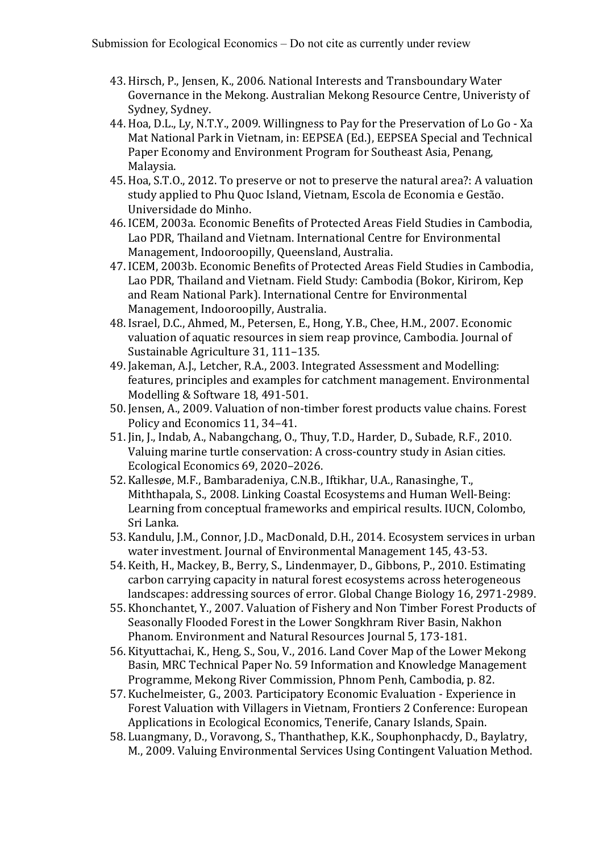- 43. Hirsch, P., Jensen, K., 2006. National Interests and Transboundary Water Governance in the Mekong. Australian Mekong Resource Centre, Univeristy of Sydney, Sydney.
- 44. Hoa, D.L., Ly, N.T.Y., 2009. Willingness to Pay for the Preservation of Lo Go Xa Mat National Park in Vietnam, in: EEPSEA (Ed.), EEPSEA Special and Technical Paper Economy and Environment Program for Southeast Asia, Penang, Malaysia.
- 45. Hoa, S.T.O., 2012. To preserve or not to preserve the natural area?: A valuation study applied to Phu Quoc Island, Vietnam, Escola de Economia e Gestão. Universidade do Minho.
- 46. ICEM, 2003a. Economic Benefits of Protected Areas Field Studies in Cambodia. Lao PDR, Thailand and Vietnam. International Centre for Environmental Management, Indooroopilly, Queensland, Australia.
- 47. ICEM, 2003b. Economic Benefits of Protected Areas Field Studies in Cambodia, Lao PDR, Thailand and Vietnam. Field Study: Cambodia (Bokor, Kirirom, Kep and Ream National Park). International Centre for Environmental Management, Indooroopilly, Australia.
- 48. Israel, D.C., Ahmed, M., Petersen, E., Hong, Y.B., Chee, H.M., 2007. Economic valuation of aquatic resources in siem reap province, Cambodia. Journal of Sustainable Agriculture 31, 111-135.
- 49. Jakeman, A.J., Letcher, R.A., 2003. Integrated Assessment and Modelling: features, principles and examples for catchment management. Environmental Modelling & Software 18, 491-501.
- 50. Jensen, A., 2009. Valuation of non-timber forest products value chains. Forest Policy and Economics 11, 34-41.
- 51. Jin, J., Indab, A., Nabangchang, O., Thuy, T.D., Harder, D., Subade, R.F., 2010. Valuing marine turtle conservation: A cross-country study in Asian cities. Ecological Economics 69, 2020-2026.
- 52. Kallesøe, M.F., Bambaradeniya, C.N.B., Iftikhar, U.A., Ranasinghe, T., Miththapala, S., 2008. Linking Coastal Ecosystems and Human Well-Being: Learning from conceptual frameworks and empirical results. IUCN, Colombo, Sri Lanka.
- 53. Kandulu, J.M., Connor, J.D., MacDonald, D.H., 2014. Ecosystem services in urban water investment. Journal of Environmental Management 145, 43-53.
- 54. Keith, H., Mackey, B., Berry, S., Lindenmayer, D., Gibbons, P., 2010. Estimating carbon carrying capacity in natural forest ecosystems across heterogeneous landscapes: addressing sources of error. Global Change Biology 16, 2971-2989.
- 55. Khonchantet, Y., 2007. Valuation of Fishery and Non Timber Forest Products of Seasonally Flooded Forest in the Lower Songkhram River Basin, Nakhon Phanom. Environment and Natural Resources Journal 5, 173-181.
- 56. Kityuttachai, K., Heng, S., Sou, V., 2016. Land Cover Map of the Lower Mekong Basin, MRC Technical Paper No. 59 Information and Knowledge Management Programme, Mekong River Commission, Phnom Penh, Cambodia, p. 82.
- 57. Kuchelmeister, G., 2003. Participatory Economic Evaluation Experience in Forest Valuation with Villagers in Vietnam, Frontiers 2 Conference: European Applications in Ecological Economics, Tenerife, Canary Islands, Spain.
- 58. Luangmany, D., Voravong, S., Thanthathep, K.K., Souphonphacdy, D., Baylatry, M., 2009. Valuing Environmental Services Using Contingent Valuation Method.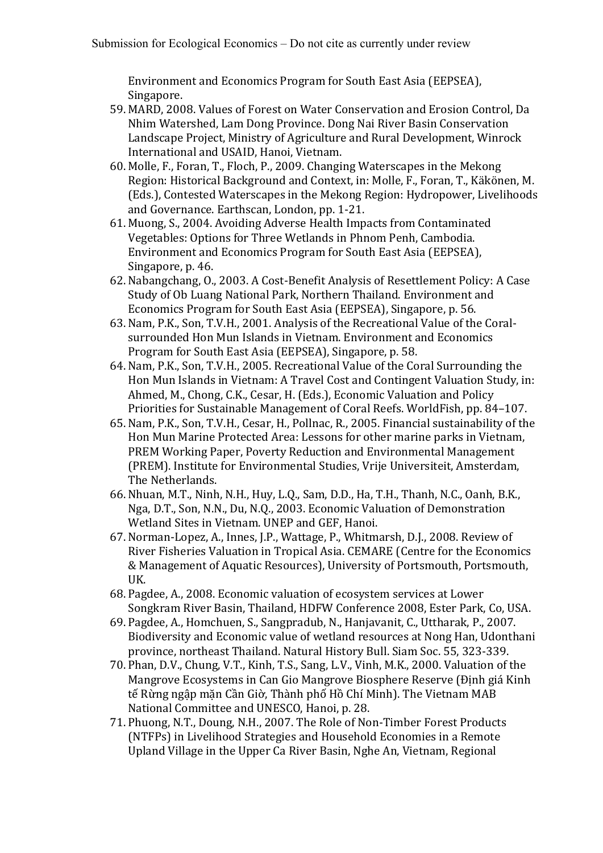Environment and Economics Program for South East Asia (EEPSEA), Singapore.

- 59. MARD, 2008. Values of Forest on Water Conservation and Erosion Control, Da Nhim Watershed, Lam Dong Province. Dong Nai River Basin Conservation Landscape Project, Ministry of Agriculture and Rural Development, Winrock International and USAID, Hanoi, Vietnam.
- 60. Molle, F., Foran, T., Floch, P., 2009. Changing Waterscapes in the Mekong Region: Historical Background and Context, in: Molle, F., Foran, T., Käkönen, M. (Eds.), Contested Waterscapes in the Mekong Region: Hydropower, Livelihoods and Governance. Earthscan, London, pp. 1-21.
- 61. Muong, S., 2004. Avoiding Adverse Health Impacts from Contaminated Vegetables: Options for Three Wetlands in Phnom Penh, Cambodia. Environment and Economics Program for South East Asia (EEPSEA), Singapore, p. 46.
- 62. Nabangchang, O., 2003. A Cost-Benefit Analysis of Resettlement Policy: A Case Study of Ob Luang National Park, Northern Thailand. Environment and Economics Program for South East Asia (EEPSEA), Singapore, p. 56.
- 63. Nam, P.K., Son, T.V.H., 2001. Analysis of the Recreational Value of the Coralsurrounded Hon Mun Islands in Vietnam. Environment and Economics Program for South East Asia (EEPSEA), Singapore, p. 58.
- 64. Nam, P.K., Son, T.V.H., 2005. Recreational Value of the Coral Surrounding the Hon Mun Islands in Vietnam: A Travel Cost and Contingent Valuation Study, in: Ahmed, M., Chong, C.K., Cesar, H. (Eds.), Economic Valuation and Policy Priorities for Sustainable Management of Coral Reefs. WorldFish, pp. 84-107.
- 65. Nam, P.K., Son, T.V.H., Cesar, H., Pollnac, R., 2005. Financial sustainability of the Hon Mun Marine Protected Area: Lessons for other marine parks in Vietnam, PREM Working Paper, Poverty Reduction and Environmental Management (PREM). Institute for Environmental Studies, Vrije Universiteit, Amsterdam, The Netherlands.
- 66. Nhuan, M.T., Ninh, N.H., Huy, L.Q., Sam, D.D., Ha, T.H., Thanh, N.C., Oanh, B.K., Nga, D.T., Son, N.N., Du, N.Q., 2003. Economic Valuation of Demonstration Wetland Sites in Vietnam. UNEP and GEF, Hanoi.
- 67. Norman-Lopez, A., Innes, J.P., Wattage, P., Whitmarsh, D.J., 2008. Review of River Fisheries Valuation in Tropical Asia. CEMARE (Centre for the Economics & Management of Aquatic Resources), University of Portsmouth, Portsmouth, UK.
- 68. Pagdee, A., 2008. Economic valuation of ecosystem services at Lower Songkram River Basin, Thailand, HDFW Conference 2008, Ester Park, Co, USA.
- 69. Pagdee, A., Homchuen, S., Sangpradub, N., Hanjavanit, C., Uttharak, P., 2007. Biodiversity and Economic value of wetland resources at Nong Han, Udonthani province, northeast Thailand. Natural History Bull. Siam Soc. 55, 323-339.
- 70. Phan, D.V., Chung, V.T., Kinh, T.S., Sang, L.V., Vinh, M.K., 2000. Valuation of the Mangrove Ecosystems in Can Gio Mangrove Biosphere Reserve (Đinh giá Kinh tế Rừng ngập mặn Cần Giờ, Thành phố Hồ Chí Minh). The Vietnam MAB National Committee and UNESCO, Hanoi, p. 28.
- 71. Phuong, N.T., Doung, N.H., 2007. The Role of Non-Timber Forest Products (NTFPs) in Livelihood Strategies and Household Economies in a Remote Upland Village in the Upper Ca River Basin, Nghe An, Vietnam, Regional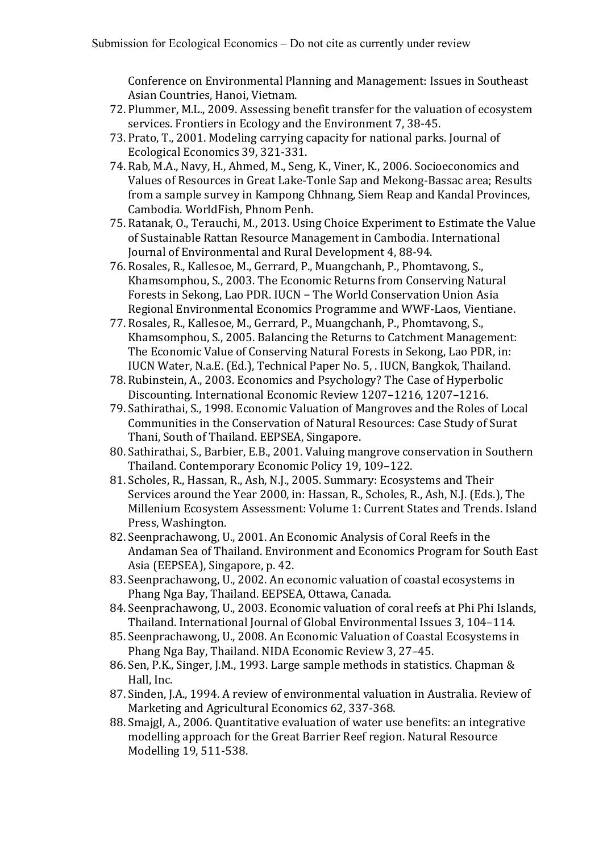Conference on Environmental Planning and Management: Issues in Southeast Asian Countries, Hanoi, Vietnam.

- 72. Plummer, M.L., 2009. Assessing benefit transfer for the valuation of ecosystem services. Frontiers in Ecology and the Environment 7, 38-45.
- 73. Prato, T., 2001. Modeling carrying capacity for national parks. Journal of Ecological Economics 39, 321-331.
- 74. Rab, M.A., Navy, H., Ahmed, M., Seng, K., Viner, K., 2006. Socioeconomics and Values of Resources in Great Lake-Tonle Sap and Mekong-Bassac area; Results from a sample survey in Kampong Chhnang, Siem Reap and Kandal Provinces, Cambodia. WorldFish, Phnom Penh.
- 75. Ratanak, O., Terauchi, M., 2013. Using Choice Experiment to Estimate the Value of Sustainable Rattan Resource Management in Cambodia. International Journal of Environmental and Rural Development 4, 88-94.
- 76. Rosales, R., Kallesoe, M., Gerrard, P., Muangchanh, P., Phomtavong, S., Khamsomphou, S., 2003. The Economic Returns from Conserving Natural Forests in Sekong, Lao PDR. IUCN - The World Conservation Union Asia Regional Environmental Economics Programme and WWF-Laos, Vientiane.
- 77. Rosales, R., Kallesoe, M., Gerrard, P., Muangchanh, P., Phomtavong, S., Khamsomphou, S., 2005. Balancing the Returns to Catchment Management: The Economic Value of Conserving Natural Forests in Sekong, Lao PDR, in: IUCN Water, N.a.E. (Ed.), Technical Paper No. 5, . IUCN, Bangkok, Thailand.
- 78. Rubinstein, A., 2003. Economics and Psychology? The Case of Hyperbolic Discounting. International Economic Review 1207–1216, 1207–1216.
- 79. Sathirathai, S., 1998. Economic Valuation of Mangroves and the Roles of Local Communities in the Conservation of Natural Resources: Case Study of Surat Thani, South of Thailand. EEPSEA, Singapore.
- 80. Sathirathai, S., Barbier, E.B., 2001. Valuing mangrove conservation in Southern Thailand. Contemporary Economic Policy 19, 109-122.
- 81. Scholes, R., Hassan, R., Ash, N.J., 2005. Summary: Ecosystems and Their Services around the Year 2000, in: Hassan, R., Scholes, R., Ash, N.J. (Eds.), The Millenium Ecosystem Assessment: Volume 1: Current States and Trends. Island Press, Washington.
- 82. Seenprachawong, U., 2001. An Economic Analysis of Coral Reefs in the Andaman Sea of Thailand. Environment and Economics Program for South East Asia (EEPSEA), Singapore, p. 42.
- 83. Seenprachawong, U., 2002. An economic valuation of coastal ecosystems in Phang Nga Bay, Thailand. EEPSEA, Ottawa, Canada.
- 84. Seenprachawong, U., 2003. Economic valuation of coral reefs at Phi Phi Islands, Thailand. International Journal of Global Environmental Issues 3, 104-114.
- 85. Seenprachawong, U., 2008. An Economic Valuation of Coastal Ecosystems in Phang Nga Bay, Thailand, NIDA Economic Review 3, 27-45.
- 86. Sen, P.K., Singer, J.M., 1993. Large sample methods in statistics. Chapman & Hall, Inc.
- 87. Sinden, J.A., 1994. A review of environmental valuation in Australia. Review of Marketing and Agricultural Economics 62, 337-368.
- 88. Smaigl, A., 2006. Quantitative evaluation of water use benefits: an integrative modelling approach for the Great Barrier Reef region. Natural Resource Modelling 19, 511-538.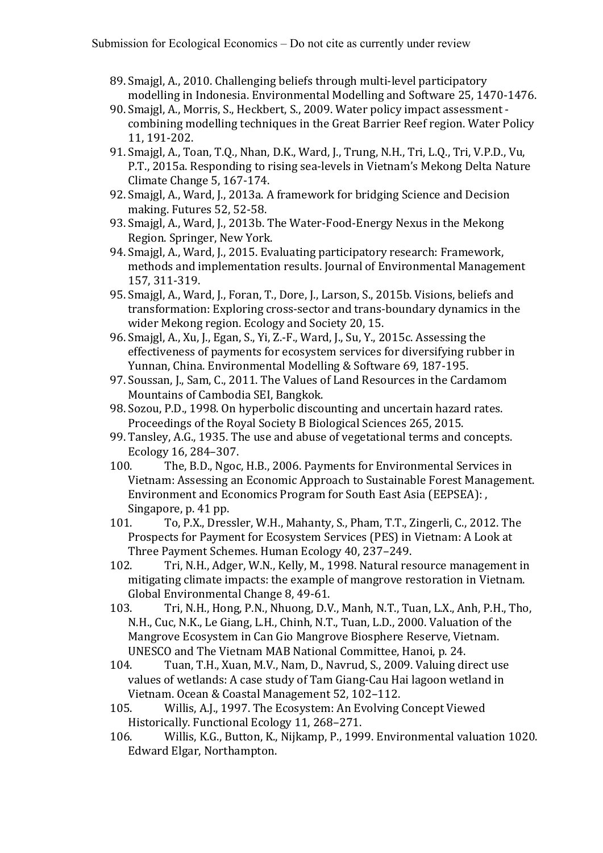- 89. Smajgl, A., 2010. Challenging beliefs through multi-level participatory modelling in Indonesia. Environmental Modelling and Software 25, 1470-1476.
- 90. Smajgl, A., Morris, S., Heckbert, S., 2009. Water policy impact assessment combining modelling techniques in the Great Barrier Reef region. Water Policy 11, 191-202.
- 91. Smajgl, A., Toan, T.Q., Nhan, D.K., Ward, J., Trung, N.H., Tri, L.Q., Tri, V.P.D., Vu, P.T., 2015a. Responding to rising sea-levels in Vietnam's Mekong Delta Nature Climate Change 5, 167-174.
- 92. Smajgl, A., Ward, J., 2013a. A framework for bridging Science and Decision making. Futures 52, 52-58.
- 93. Smajgl, A., Ward, J., 2013b. The Water-Food-Energy Nexus in the Mekong Region. Springer, New York.
- 94. Smaigl, A., Ward, J., 2015. Evaluating participatory research: Framework, methods and implementation results. Journal of Environmental Management 157, 311-319.
- 95. Smaigl, A., Ward, J., Foran, T., Dore, J., Larson, S., 2015b. Visions, beliefs and transformation: Exploring cross-sector and trans-boundary dynamics in the wider Mekong region. Ecology and Society 20, 15.
- 96. Smajgl, A., Xu, J., Egan, S., Yi, Z.-F., Ward, J., Su, Y., 2015c. Assessing the effectiveness of payments for ecosystem services for diversifying rubber in Yunnan, China. Environmental Modelling & Software 69, 187-195.
- 97. Soussan, J., Sam, C., 2011. The Values of Land Resources in the Cardamom Mountains of Cambodia SEI, Bangkok.
- 98. Sozou, P.D., 1998. On hyperbolic discounting and uncertain hazard rates. Proceedings of the Royal Society B Biological Sciences 265, 2015.
- 99. Tansley, A.G., 1935. The use and abuse of vegetational terms and concepts. Ecology 16, 284–307.
- 100. The, B.D., Ngoc, H.B., 2006. Payments for Environmental Services in Vietnam: Assessing an Economic Approach to Sustainable Forest Management. Environment and Economics Program for South East Asia (EEPSEA): Singapore, p. 41 pp.
- 101. To, P.X., Dressler, W.H., Mahanty, S., Pham, T.T., Zingerli, C., 2012. The Prospects for Payment for Ecosystem Services (PES) in Vietnam: A Look at Three Payment Schemes. Human Ecology 40, 237-249.
- 102. Tri, N.H., Adger, W.N., Kelly, M., 1998. Natural resource management in mitigating climate impacts: the example of mangrove restoration in Vietnam. Global Environmental Change 8, 49-61.
- 103. Tri, N.H., Hong, P.N., Nhuong, D.V., Manh, N.T., Tuan, L.X., Anh, P.H., Tho, N.H., Cuc, N.K., Le Giang, L.H., Chinh, N.T., Tuan, L.D., 2000. Valuation of the Mangrove Ecosystem in Can Gio Mangrove Biosphere Reserve, Vietnam. UNESCO and The Vietnam MAB National Committee, Hanoi, p. 24.
- 104. Tuan, T.H., Xuan, M.V., Nam, D., Navrud, S., 2009. Valuing direct use values of wetlands: A case study of Tam Giang-Cau Hai lagoon wetland in Vietnam. Ocean & Coastal Management 52, 102-112.
- 105. Willis, A.J., 1997. The Ecosystem: An Evolving Concept Viewed Historically. Functional Ecology 11, 268-271.
- 106. Willis, K.G., Button, K., Nijkamp, P., 1999. Environmental valuation 1020. Edward Elgar, Northampton.